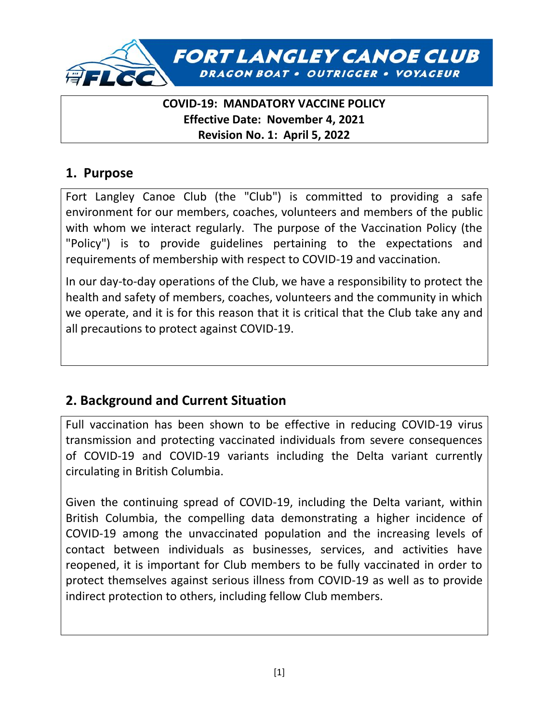

### **COVID-19: MANDATORY VACCINE POLICY Effective Date: November 4, 2021 Revision No. 1: April 5, 2022**

### **1. Purpose**

Fort Langley Canoe Club (the "Club") is committed to providing a safe environment for our members, coaches, volunteers and members of the public with whom we interact regularly. The purpose of the Vaccination Policy (the "Policy") is to provide guidelines pertaining to the expectations and requirements of membership with respect to COVID-19 and vaccination.

In our day-to-day operations of the Club, we have a responsibility to protect the health and safety of members, coaches, volunteers and the community in which we operate, and it is for this reason that it is critical that the Club take any and all precautions to protect against COVID-19.

# **2. Background and Current Situation**

Full vaccination has been shown to be effective in reducing COVID-19 virus transmission and protecting vaccinated individuals from severe consequences of COVID-19 and COVID-19 variants including the Delta variant currently circulating in British Columbia.

Given the continuing spread of COVID-19, including the Delta variant, within British Columbia, the compelling data demonstrating a higher incidence of COVID-19 among the unvaccinated population and the increasing levels of contact between individuals as businesses, services, and activities have reopened, it is important for Club members to be fully vaccinated in order to protect themselves against serious illness from COVID-19 as well as to provide indirect protection to others, including fellow Club members.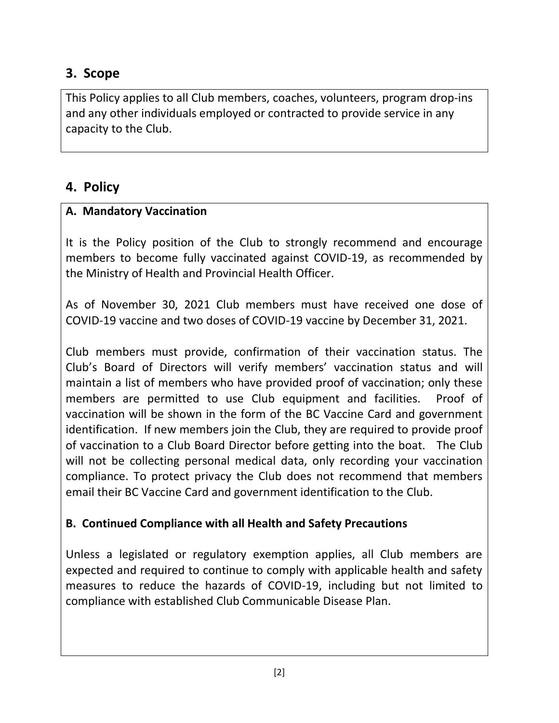# **3. Scope**

This Policy applies to all Club members, coaches, volunteers, program drop-ins and any other individuals employed or contracted to provide service in any capacity to the Club.

# **4. Policy**

### **A. Mandatory Vaccination**

It is the Policy position of the Club to strongly recommend and encourage members to become fully vaccinated against COVID-19, as recommended by the Ministry of Health and Provincial Health Officer.

As of November 30, 2021 Club members must have received one dose of COVID-19 vaccine and two doses of COVID-19 vaccine by December 31, 2021.

Club members must provide, confirmation of their vaccination status. The Club's Board of Directors will verify members' vaccination status and will maintain a list of members who have provided proof of vaccination; only these members are permitted to use Club equipment and facilities. Proof of vaccination will be shown in the form of the BC Vaccine Card and government identification. If new members join the Club, they are required to provide proof of vaccination to a Club Board Director before getting into the boat. The Club will not be collecting personal medical data, only recording your vaccination compliance. To protect privacy the Club does not recommend that members email their BC Vaccine Card and government identification to the Club.

### **B. Continued Compliance with all Health and Safety Precautions**

Unless a legislated or regulatory exemption applies, all Club members are expected and required to continue to comply with applicable health and safety measures to reduce the hazards of COVID-19, including but not limited to compliance with established Club Communicable Disease Plan.